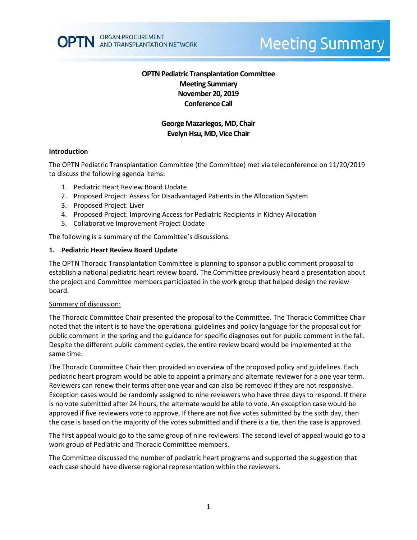

# **Meeting Summary**

## **OPTN Pediatric Transplantation Committee Meeting Summary November 20, 2019 Conference Call**

## **George Mazariegos, MD, Chair Evelyn Hsu, MD, Vice Chair**

#### **Introduction**

The OPTN Pediatric Transplantation Committee (the Committee) met via teleconference on 11/20/2019 to discuss the following agenda items:

- 1. Pediatric Heart Review Board Update
- 2. Proposed Project: Assess for Disadvantaged Patients in the Allocation System
- 3. Proposed Project: Liver
- 4. Proposed Project: Improving Access for Pediatric Recipients in Kidney Allocation
- 5. Collaborative Improvement Project Update

The following is a summary of the Committee's discussions.

#### **1. Pediatric Heart Review Board Update**

The OPTN Thoracic Transplantation Committee is planning to sponsor a public comment proposal to establish a national pediatric heart review board. The Committee previously heard a presentation about the project and Committee members participated in the work group that helped design the review board.

#### Summary of discussion:

The Thoracic Committee Chair presented the proposal to the Committee. The Thoracic Committee Chair noted that the intent is to have the operational guidelines and policy language for the proposal out for public comment in the spring and the guidance for specific diagnoses out for public comment in the fall. Despite the different public comment cycles, the entire review board would be implemented at the same time.

The Thoracic Committee Chair then provided an overview of the proposed policy and guidelines. Each pediatric heart program would be able to appoint a primary and alternate reviewer for a one year term. Reviewers can renew their terms after one year and can also be removed if they are not responsive. Exception cases would be randomly assigned to nine reviewers who have three days to respond. If there is no vote submitted after 24 hours, the alternate would be able to vote. An exception case would be approved if five reviewers vote to approve. If there are not five votes submitted by the sixth day, then the case is based on the majority of the votes submitted and if there is a tie, then the case is approved.

The first appeal would go to the same group of nine reviewers. The second level of appeal would go to a work group of Pediatric and Thoracic Committee members.

The Committee discussed the number of pediatric heart programs and supported the suggestion that each case should have diverse regional representation within the reviewers.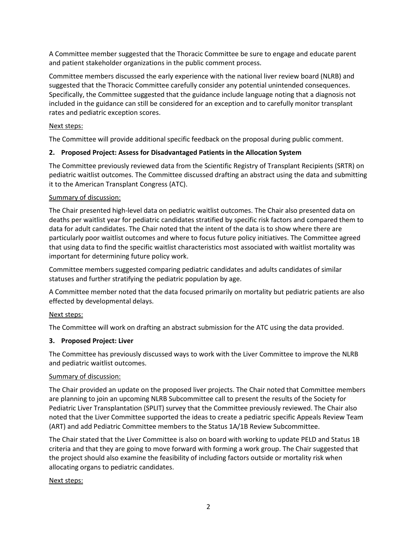A Committee member suggested that the Thoracic Committee be sure to engage and educate parent and patient stakeholder organizations in the public comment process.

Committee members discussed the early experience with the national liver review board (NLRB) and suggested that the Thoracic Committee carefully consider any potential unintended consequences. Specifically, the Committee suggested that the guidance include language noting that a diagnosis not included in the guidance can still be considered for an exception and to carefully monitor transplant rates and pediatric exception scores.

## Next steps:

The Committee will provide additional specific feedback on the proposal during public comment.

## **2. Proposed Project: Assess for Disadvantaged Patients in the Allocation System**

The Committee previously reviewed data from the Scientific Registry of Transplant Recipients (SRTR) on pediatric waitlist outcomes. The Committee discussed drafting an abstract using the data and submitting it to the American Transplant Congress (ATC).

#### Summary of discussion:

The Chair presented high-level data on pediatric waitlist outcomes. The Chair also presented data on deaths per waitlist year for pediatric candidates stratified by specific risk factors and compared them to data for adult candidates. The Chair noted that the intent of the data is to show where there are particularly poor waitlist outcomes and where to focus future policy initiatives. The Committee agreed that using data to find the specific waitlist characteristics most associated with waitlist mortality was important for determining future policy work.

Committee members suggested comparing pediatric candidates and adults candidates of similar statuses and further stratifying the pediatric population by age.

A Committee member noted that the data focused primarily on mortality but pediatric patients are also effected by developmental delays.

#### Next steps:

The Committee will work on drafting an abstract submission for the ATC using the data provided.

#### **3. Proposed Project: Liver**

The Committee has previously discussed ways to work with the Liver Committee to improve the NLRB and pediatric waitlist outcomes.

#### Summary of discussion:

The Chair provided an update on the proposed liver projects. The Chair noted that Committee members are planning to join an upcoming NLRB Subcommittee call to present the results of the Society for Pediatric Liver Transplantation (SPLIT) survey that the Committee previously reviewed. The Chair also noted that the Liver Committee supported the ideas to create a pediatric specific Appeals Review Team (ART) and add Pediatric Committee members to the Status 1A/1B Review Subcommittee.

The Chair stated that the Liver Committee is also on board with working to update PELD and Status 1B criteria and that they are going to move forward with forming a work group. The Chair suggested that the project should also examine the feasibility of including factors outside or mortality risk when allocating organs to pediatric candidates.

#### Next steps: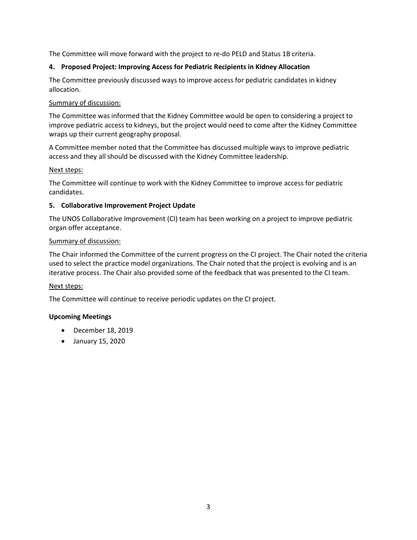The Committee will move forward with the project to re-do PELD and Status 1B criteria.

## **4. Proposed Project: Improving Access for Pediatric Recipients in Kidney Allocation**

The Committee previously discussed ways to improve access for pediatric candidates in kidney allocation.

## Summary of discussion:

The Committee was informed that the Kidney Committee would be open to considering a project to improve pediatric access to kidneys, but the project would need to come after the Kidney Committee wraps up their current geography proposal.

A Committee member noted that the Committee has discussed multiple ways to improve pediatric access and they all should be discussed with the Kidney Committee leadership.

## Next steps:

The Committee will continue to work with the Kidney Committee to improve access for pediatric candidates.

## **5. Collaborative Improvement Project Update**

The UNOS Collaborative Improvement (CI) team has been working on a project to improve pediatric organ offer acceptance.

## Summary of discussion:

The Chair informed the Committee of the current progress on the CI project. The Chair noted the criteria used to select the practice model organizations. The Chair noted that the project is evolving and is an iterative process. The Chair also provided some of the feedback that was presented to the CI team.

# Next steps:

The Committee will continue to receive periodic updates on the CI project.

# **Upcoming Meetings**

- December 18, 2019
- January 15, 2020